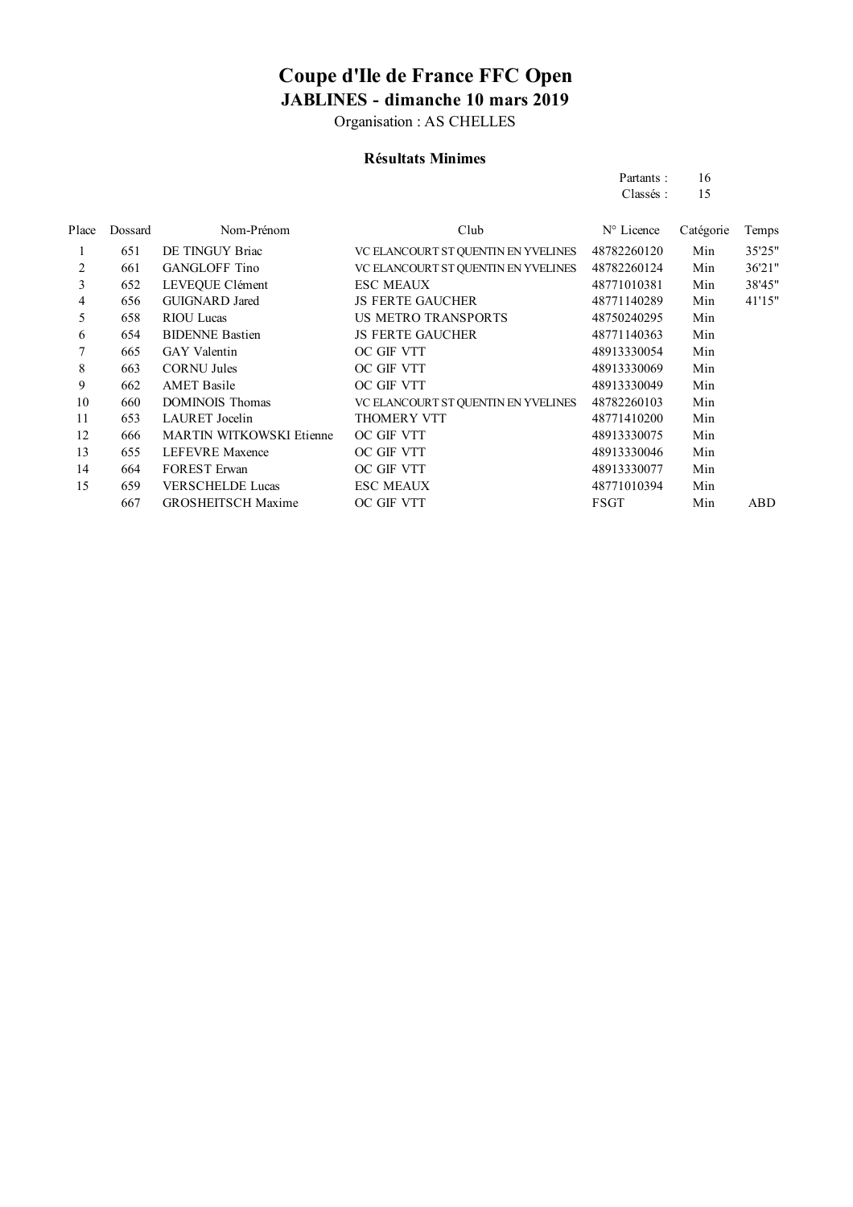Organisation : AS CHELLES

### **Résultats Minimes**

| Partants: | 16 |
|-----------|----|
| Classés:  | 15 |

| Place | Dossard | Nom-Prénom                | Club                                | $N^{\circ}$ Licence | Catégorie | Temps  |
|-------|---------|---------------------------|-------------------------------------|---------------------|-----------|--------|
| 1     | 651     | DE TINGUY Briac           | VC ELANCOURT ST QUENTIN EN YVELINES | 48782260120         | Min       | 35'25" |
| 2     | 661     | <b>GANGLOFF Tino</b>      | VC ELANCOURT ST QUENTIN EN YVELINES | 48782260124         | Min       | 36'21" |
| 3     | 652     | LEVEOUE Clément           | <b>ESC MEAUX</b>                    | 48771010381         | Min       | 38'45" |
| 4     | 656     | <b>GUIGNARD</b> Jared     | <b>JS FERTE GAUCHER</b>             | 48771140289         | Min       | 41'15" |
| 5     | 658     | <b>RIOU</b> Lucas         | US METRO TRANSPORTS                 | 48750240295         | Min       |        |
| 6     | 654     | <b>BIDENNE Bastien</b>    | <b>JS FERTE GAUCHER</b>             | 48771140363         | Min       |        |
|       | 665     | <b>GAY</b> Valentin       | OC GIF VTT                          | 48913330054         | Min       |        |
| 8     | 663     | <b>CORNU Jules</b>        | OC GIF VTT                          | 48913330069         | Min       |        |
| 9     | 662     | <b>AMET</b> Basile        | OC GIF VTT                          | 48913330049         | Min       |        |
| 10    | 660     | <b>DOMINOIS</b> Thomas    | VC ELANCOURT ST QUENTIN EN YVELINES | 48782260103         | Min       |        |
| 11    | 653     | LAURET Jocelin            | <b>THOMERY VTT</b>                  | 48771410200         | Min       |        |
| 12    | 666     | MARTIN WITKOWSKI Etienne  | OC GIF VTT                          | 48913330075         | Min       |        |
| 13    | 655     | <b>LEFEVRE</b> Maxence    | OC GIF VTT                          | 48913330046         | Min       |        |
| 14    | 664     | <b>FOREST Erwan</b>       | OC GIF VTT                          | 48913330077         | Min       |        |
| 15    | 659     | <b>VERSCHELDE Lucas</b>   | <b>ESC MEAUX</b>                    | 48771010394         | Min       |        |
|       | 667     | <b>GROSHEITSCH Maxime</b> | OC GIF VTT                          | FSGT                | Min       | ABD    |
|       |         |                           |                                     |                     |           |        |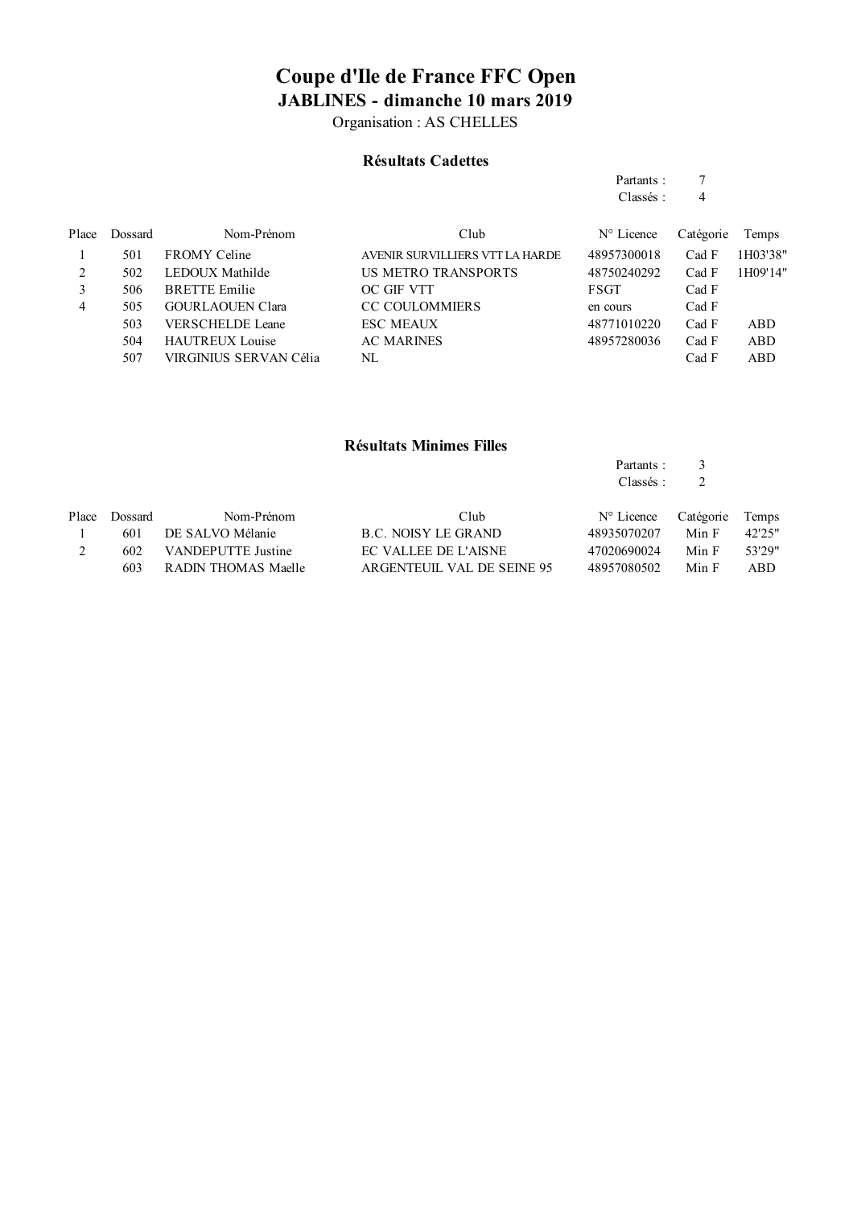Organisation : AS CHELLES

#### **Résultats Cadettes**

| Partants: |   |
|-----------|---|
| Classés:  | 4 |

| Place | Dossard | Nom-Prénom              | Club                            | $N^{\circ}$ Licence | Catégorie | Temps    |
|-------|---------|-------------------------|---------------------------------|---------------------|-----------|----------|
|       | 501     | <b>FROMY</b> Celine     | AVENIR SURVILLIERS VTT LA HARDE | 48957300018         | Cad F     | 1H03'38" |
|       | 502     | LEDOUX Mathilde         | US METRO TRANSPORTS             | 48750240292         | Cad F     | 1H09'14" |
| 3     | 506     | <b>BRETTE</b> Emilie    | OC GIF VTT                      | <b>FSGT</b>         | Cad F     |          |
| 4     | 505     | <b>GOURLAOUEN Clara</b> | <b>CC COULOMMIERS</b>           | en cours            | Cad F     |          |
|       | 503     | <b>VERSCHELDE Leane</b> | <b>ESC MEAUX</b>                | 48771010220         | Cad F     | ABD      |
|       | 504     | <b>HAUTREUX Louise</b>  | <b>AC MARINES</b>               | 48957280036         | Cad F     | ABD      |
|       | 507     | VIRGINIUS SERVAN Célia  | NL                              |                     | Cad F     | ABD      |

#### **Résultats Minimes Filles**

| Partants: |  |
|-----------|--|
| Classés:  |  |
|           |  |

| Place | Dossard | Nom-Prénom          | Club                       | $N^{\circ}$ Licence Catégorie Temps |       |        |
|-------|---------|---------------------|----------------------------|-------------------------------------|-------|--------|
|       | 601     | DE SALVO Mélanie    | B.C. NOISY LE GRAND        | 48935070207                         | Min F | 42.25" |
|       | 602.    | VANDEPUTTE Justine  | EC VALLEE DE L'AISNE       | 47020690024                         | Min F | 53'29" |
|       | 603.    | RADIN THOMAS Maelle | ARGENTEUIL VAL DE SEINE 95 | 48957080502                         | Min F | ABD.   |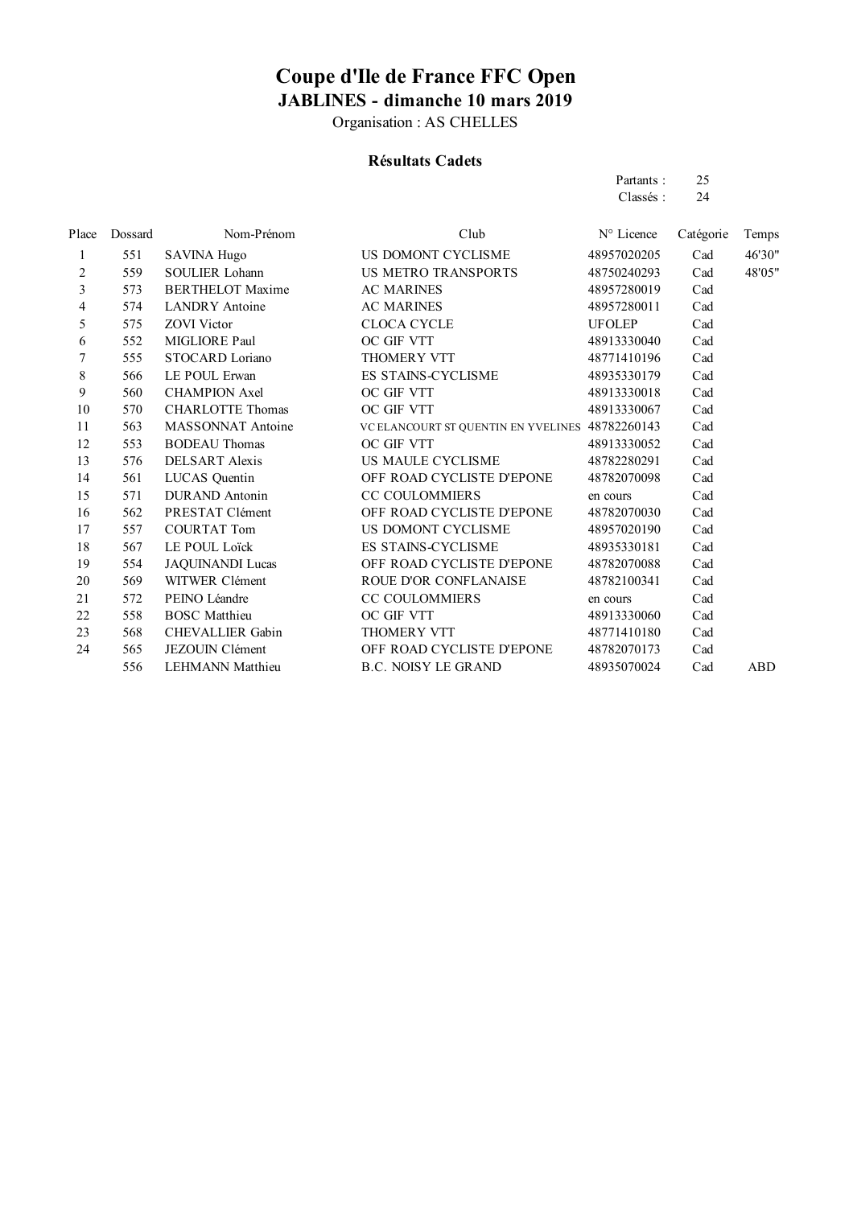Organisation : AS CHELLES

### **Résultats Cadets**

Partants : 25 Classés : 24

| Place | Dossard | Nom-Prénom              | Club                                            | N° Licence    | Catégorie | Temps      |
|-------|---------|-------------------------|-------------------------------------------------|---------------|-----------|------------|
| 1     | 551     | <b>SAVINA Hugo</b>      | US DOMONT CYCLISME                              | 48957020205   | Cad       | 46'30"     |
| 2     | 559     | <b>SOULIER Lohann</b>   | <b>US METRO TRANSPORTS</b>                      | 48750240293   | Cad       | 48'05"     |
| 3     | 573     | <b>BERTHELOT Maxime</b> | <b>AC MARINES</b>                               | 48957280019   | Cad       |            |
| 4     | 574     | <b>LANDRY</b> Antoine   | <b>AC MARINES</b>                               | 48957280011   | Cad       |            |
| 5     | 575     | <b>ZOVI</b> Victor      | <b>CLOCA CYCLE</b>                              | <b>UFOLEP</b> | Cad       |            |
| 6     | 552     | MIGLIORE Paul           | OC GIF VTT                                      | 48913330040   | Cad       |            |
| 7     | 555     | STOCARD Loriano         | <b>THOMERY VTT</b>                              | 48771410196   | Cad       |            |
| 8     | 566     | LE POUL Erwan           | <b>ES STAINS-CYCLISME</b>                       | 48935330179   | Cad       |            |
| 9     | 560     | <b>CHAMPION Axel</b>    | OC GIF VTT                                      | 48913330018   | Cad       |            |
| 10    | 570     | <b>CHARLOTTE Thomas</b> | OC GIF VTT                                      | 48913330067   | Cad       |            |
| 11    | 563     | MASSONNAT Antoine       | VC ELANCOURT ST QUENTIN EN YVELINES 48782260143 |               | Cad       |            |
| 12    | 553     | <b>BODEAU</b> Thomas    | OC GIF VTT                                      | 48913330052   | Cad       |            |
| 13    | 576     | DELSART Alexis          | US MAULE CYCLISME                               | 48782280291   | Cad       |            |
| 14    | 561     | LUCAS Quentin           | OFF ROAD CYCLISTE D'EPONE                       | 48782070098   | Cad       |            |
| 15    | 571     | <b>DURAND</b> Antonin   | <b>CC COULOMMIERS</b>                           | en cours      | Cad       |            |
| 16    | 562     | PRESTAT Clément         | OFF ROAD CYCLISTE D'EPONE                       | 48782070030   | Cad       |            |
| 17    | 557     | <b>COURTAT Tom</b>      | US DOMONT CYCLISME                              | 48957020190   | Cad       |            |
| 18    | 567     | LE POUL Loïck           | <b>ES STAINS-CYCLISME</b>                       | 48935330181   | Cad       |            |
| 19    | 554     | <b>JAQUINANDI Lucas</b> | OFF ROAD CYCLISTE D'EPONE                       | 48782070088   | Cad       |            |
| 20    | 569     | WITWER Clément          | ROUE D'OR CONFLANAISE                           | 48782100341   | Cad       |            |
| 21    | 572     | PEINO Léandre           | <b>CC COULOMMIERS</b>                           | en cours      | Cad       |            |
| 22    | 558     | <b>BOSC</b> Matthieu    | OC GIF VTT                                      | 48913330060   | Cad       |            |
| 23    | 568     | CHEVALLIER Gabin        | <b>THOMERY VTT</b>                              | 48771410180   | Cad       |            |
| 24    | 565     | <b>JEZOUIN Clément</b>  | OFF ROAD CYCLISTE D'EPONE                       | 48782070173   | Cad       |            |
|       | 556     | <b>LEHMANN</b> Matthieu | <b>B.C. NOISY LE GRAND</b>                      | 48935070024   | Cad       | <b>ABD</b> |
|       |         |                         |                                                 |               |           |            |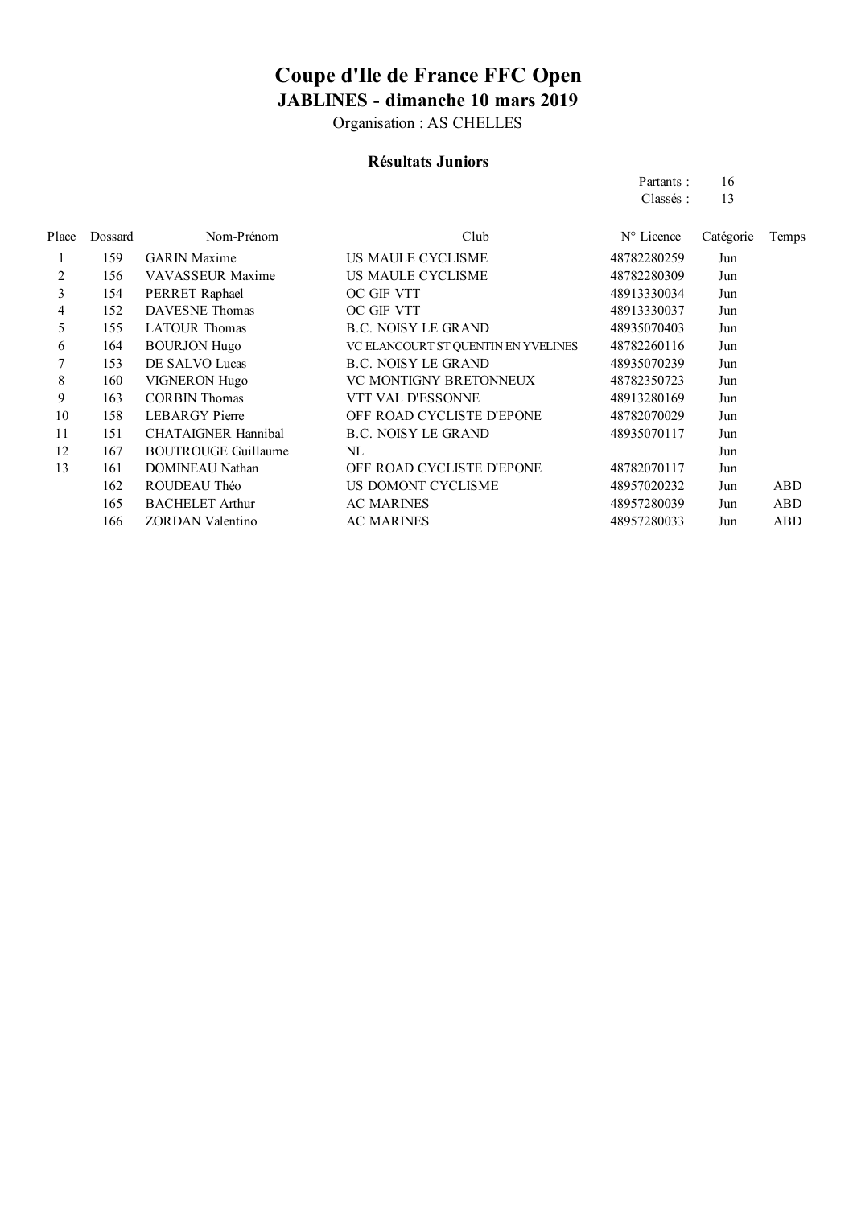Organisation : AS CHELLES

#### **Résultats Juniors**

Partants : 16 Classés : 13

| Place | Dossard | Nom-Prénom                 | Club                                | $N^{\circ}$ Licence | Catégorie | Temps      |
|-------|---------|----------------------------|-------------------------------------|---------------------|-----------|------------|
|       | 159     | GARIN Maxime               | US MAULE CYCLISME                   | 48782280259         | Jun       |            |
| 2     | 156     | VAVASSEUR Maxime           | US MAULE CYCLISME                   | 48782280309         | Jun       |            |
| 3     | 154     | PERRET Raphael             | OC GIF VTT                          | 48913330034         | Jun       |            |
| 4     | 152     | <b>DAVESNE</b> Thomas      | OC GIF VTT                          | 48913330037         | Jun       |            |
| 5     | 155     | <b>LATOUR Thomas</b>       | <b>B.C. NOISY LE GRAND</b>          | 48935070403         | Jun       |            |
| 6     | 164     | <b>BOURJON Hugo</b>        | VC ELANCOURT ST QUENTIN EN YVELINES | 48782260116         | Jun       |            |
|       | 153     | DE SALVO Lucas             | <b>B.C. NOISY LE GRAND</b>          | 48935070239         | Jun       |            |
| 8     | 160     | <b>VIGNERON Hugo</b>       | VC MONTIGNY BRETONNEUX              | 48782350723         | Jun       |            |
| 9     | 163     | <b>CORBIN Thomas</b>       | VTT VAL D'ESSONNE                   | 48913280169         | Jun       |            |
| 10    | 158     | <b>LEBARGY</b> Pierre      | OFF ROAD CYCLISTE D'EPONE           | 48782070029         | Jun       |            |
| 11    | 151     | <b>CHATAIGNER Hannibal</b> | <b>B.C. NOISY LE GRAND</b>          | 48935070117         | Jun       |            |
| 12    | 167     | <b>BOUTROUGE Guillaume</b> | NL                                  |                     | Jun       |            |
| 13    | 161     | <b>DOMINEAU Nathan</b>     | OFF ROAD CYCLISTE D'EPONE           | 48782070117         | Jun       |            |
|       | 162     | ROUDEAU Théo               | US DOMONT CYCLISME                  | 48957020232         | Jun       | <b>ABD</b> |
|       | 165     | <b>BACHELET Arthur</b>     | <b>AC MARINES</b>                   | 48957280039         | Jun       | ABD        |
|       | 166     | ZORDAN Valentino           | <b>AC MARINES</b>                   | 48957280033         | Jun       | <b>ABD</b> |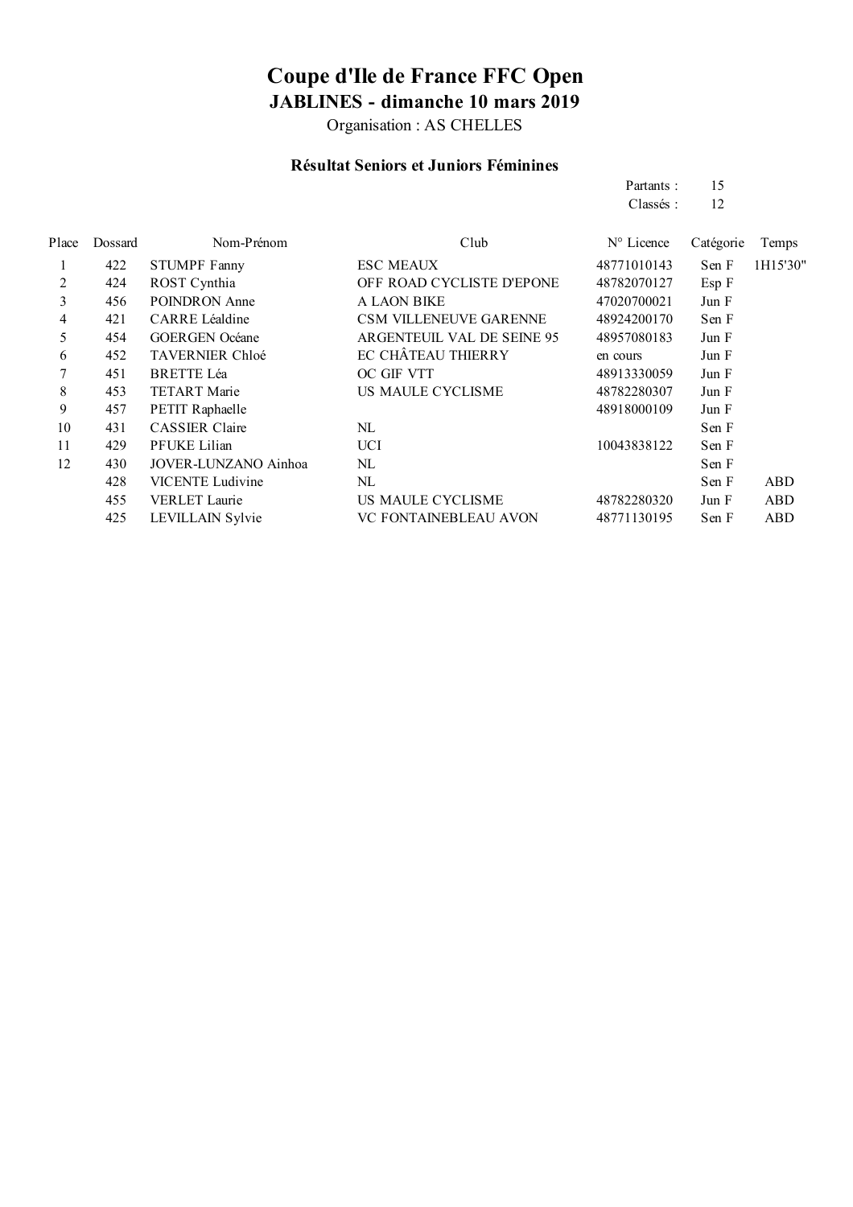Organisation : AS CHELLES

#### **Résultat Seniors et Juniors Féminines**

|       |         |                         |                               | Partants:   | 15        |            |
|-------|---------|-------------------------|-------------------------------|-------------|-----------|------------|
|       |         |                         |                               | Classés:    | 12        |            |
| Place | Dossard | Nom-Prénom              | Club                          | N° Licence  | Catégorie | Temps      |
|       | 422     | <b>STUMPF Fanny</b>     | <b>ESC MEAUX</b>              | 48771010143 | Sen F     | 1H15'30"   |
| 2     | 424     | ROST Cynthia            | OFF ROAD CYCLISTE D'EPONE     | 48782070127 | Esp F     |            |
| 3     | 456     | POINDRON Anne           | <b>A LAON BIKE</b>            | 47020700021 | Jun F     |            |
| 4     | 421     | CARRE Léaldine          | <b>CSM VILLENEUVE GARENNE</b> | 48924200170 | Sen F     |            |
| 5     | 454     | <b>GOERGEN</b> Océane   | ARGENTEUIL VAL DE SEINE 95    | 48957080183 | Jun F     |            |
| 6     | 452     | <b>TAVERNIER Chloé</b>  | EC CHÂTEAU THIERRY            | en cours    | Jun F     |            |
|       | 451     | <b>BRETTE Léa</b>       | OC GIF VTT                    | 48913330059 | Jun F     |            |
| 8     | 453     | <b>TETART</b> Marie     | US MAULE CYCLISME             | 48782280307 | Jun F     |            |
| 9     | 457     | PETIT Raphaelle         |                               | 48918000109 | Jun F     |            |
| 10    | 431     | <b>CASSIER Claire</b>   | NL                            |             | Sen F     |            |
| 11    | 429     | PFUKE Lilian            | <b>UCI</b>                    | 10043838122 | Sen F     |            |
| 12    | 430     | JOVER-LUNZANO Ainhoa    | NL                            |             | Sen F     |            |
|       | 428     | <b>VICENTE</b> Ludivine | NL                            |             | Sen F     | ABD        |
|       | 455     | VERLET Laurie           | US MAULE CYCLISME             | 48782280320 | Jun F     | <b>ABD</b> |
|       | 425     | LEVILLAIN Sylvie        | VC FONTAINEBLEAU AVON         | 48771130195 | Sen F     | ABD        |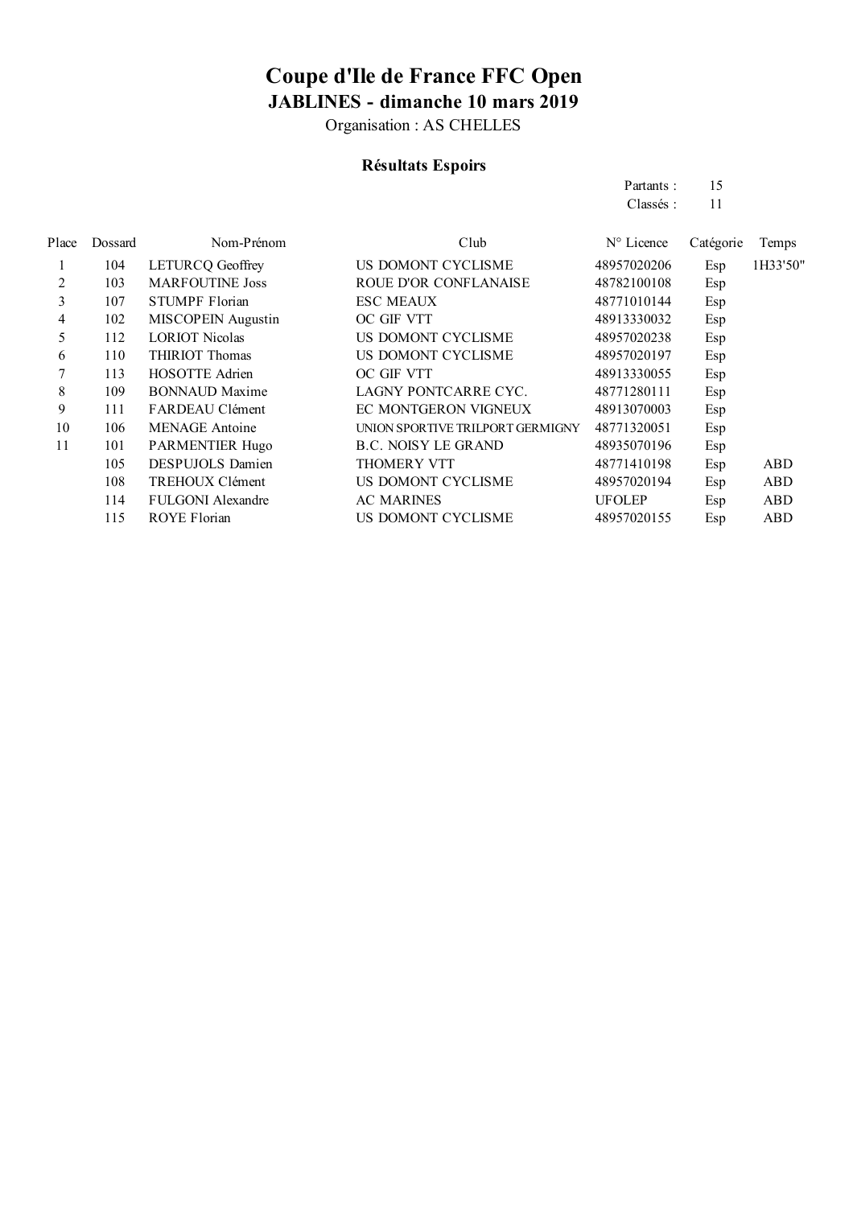Organisation : AS CHELLES

### **Résultats Espoirs**

|       |         |                           |                                  | Partants:           | 15        |            |
|-------|---------|---------------------------|----------------------------------|---------------------|-----------|------------|
|       |         |                           |                                  | Classés:            | 11        |            |
| Place | Dossard | Nom-Prénom                | Club                             | $N^{\circ}$ Licence | Catégorie | Temps      |
|       | 104     | LETURCQ Geoffrey          | US DOMONT CYCLISME               | 48957020206         | Esp       | 1H33'50"   |
| 2     | 103     | <b>MARFOUTINE Joss</b>    | ROUE D'OR CONFLANAISE            | 48782100108         | Esp       |            |
| 3     | 107     | <b>STUMPF Florian</b>     | <b>ESC MEAUX</b>                 | 48771010144         | Esp       |            |
| 4     | 102     | <b>MISCOPEIN</b> Augustin | OC GIF VTT                       | 48913330032         | Esp       |            |
| 5     | 112     | <b>LORIOT Nicolas</b>     | US DOMONT CYCLISME               | 48957020238         | Esp       |            |
| 6     | 110     | THIRIOT Thomas            | US DOMONT CYCLISME               | 48957020197         | Esp       |            |
|       | 113     | HOSOTTE Adrien            | OC GIF VTT                       | 48913330055         | Esp       |            |
| 8     | 109     | <b>BONNAUD Maxime</b>     | LAGNY PONTCARRE CYC.             | 48771280111         | Esp       |            |
| 9     | 111     | FARDEAU Clément           | EC MONTGERON VIGNEUX             | 48913070003         | Esp       |            |
| 10    | 106     | <b>MENAGE</b> Antoine     | UNION SPORTIVE TRILPORT GERMIGNY | 48771320051         | Esp       |            |
| 11    | 101     | PARMENTIER Hugo           | <b>B.C. NOISY LE GRAND</b>       | 48935070196         | Esp       |            |
|       | 105     | <b>DESPUJOLS Damien</b>   | <b>THOMERY VTT</b>               | 48771410198         | Esp       | ABD        |
|       | 108     | TREHOUX Clément           | US DOMONT CYCLISME               | 48957020194         | Esp       | <b>ABD</b> |
|       | 114     | <b>FULGONI</b> Alexandre  | <b>AC MARINES</b>                | <b>UFOLEP</b>       | Esp       | ABD        |
|       | 115     | <b>ROYE Florian</b>       | US DOMONT CYCLISME               | 48957020155         | Esp       | <b>ABD</b> |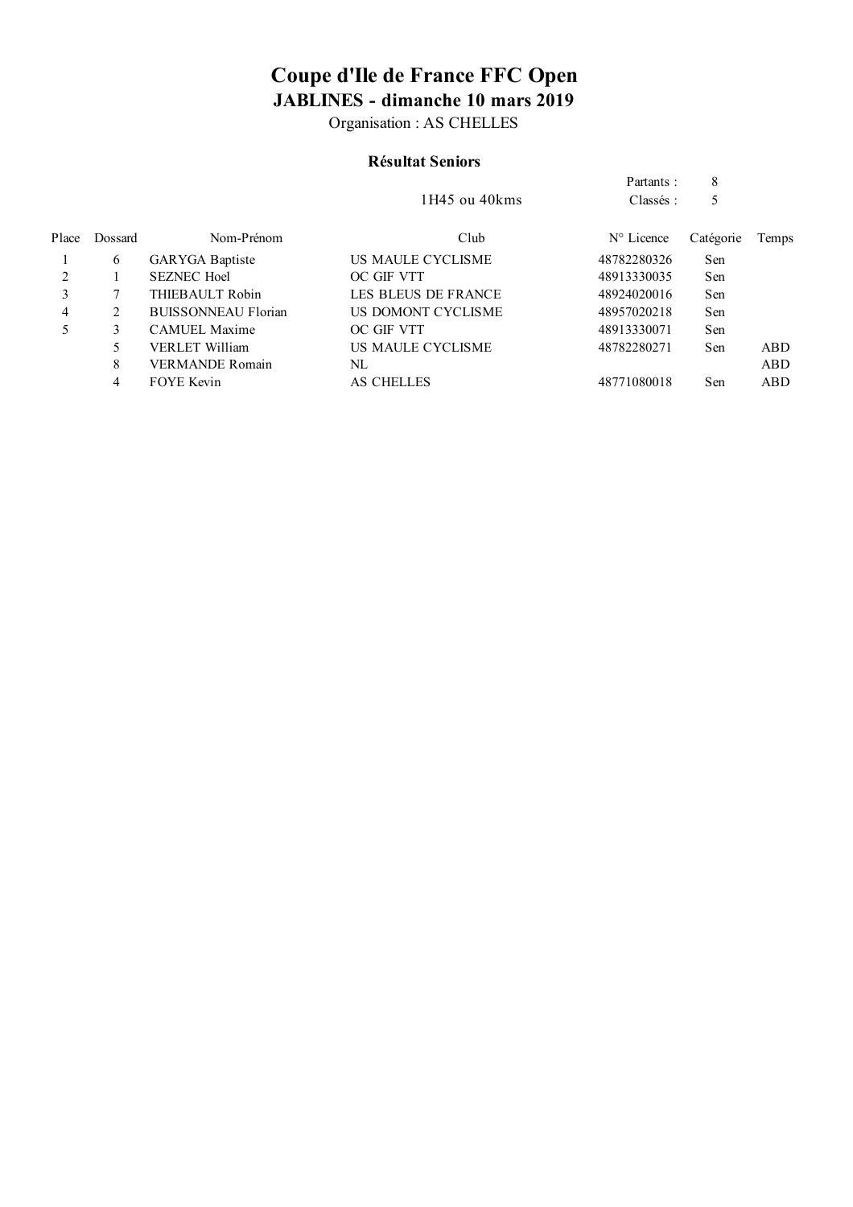Organisation : AS CHELLES

### **Résultat Seniors**

|         |                            | $1H45$ ou $40kms$   | Partants :<br>Classés: | 8<br>5    |       |
|---------|----------------------------|---------------------|------------------------|-----------|-------|
| Dossard | Nom-Prénom                 | Club                | $N^{\circ}$ Licence    | Catégorie | Temps |
| 6       | GARYGA Baptiste            | US MAULE CYCLISME   | 48782280326            | Sen       |       |
|         | <b>SEZNEC Hoel</b>         | OC GIF VTT          | 48913330035            | Sen       |       |
|         | THIEBAULT Robin            | LES BLEUS DE FRANCE | 48924020016            | Sen       |       |
| 2       | <b>BUISSONNEAU Florian</b> | US DOMONT CYCLISME  | 48957020218            | Sen       |       |
| 3       | <b>CAMUEL Maxime</b>       | OC GIF VTT          | 48913330071            | Sen       |       |
| 5       | VERLET William             | US MAULE CYCLISME   | 48782280271            | Sen       | ABD.  |
| 8       | <b>VERMANDE Romain</b>     | NL                  |                        |           | ABD   |
| 4       | <b>FOYE Kevin</b>          | <b>AS CHELLES</b>   | 48771080018            | Sen       | ABD   |
|         |                            |                     |                        |           |       |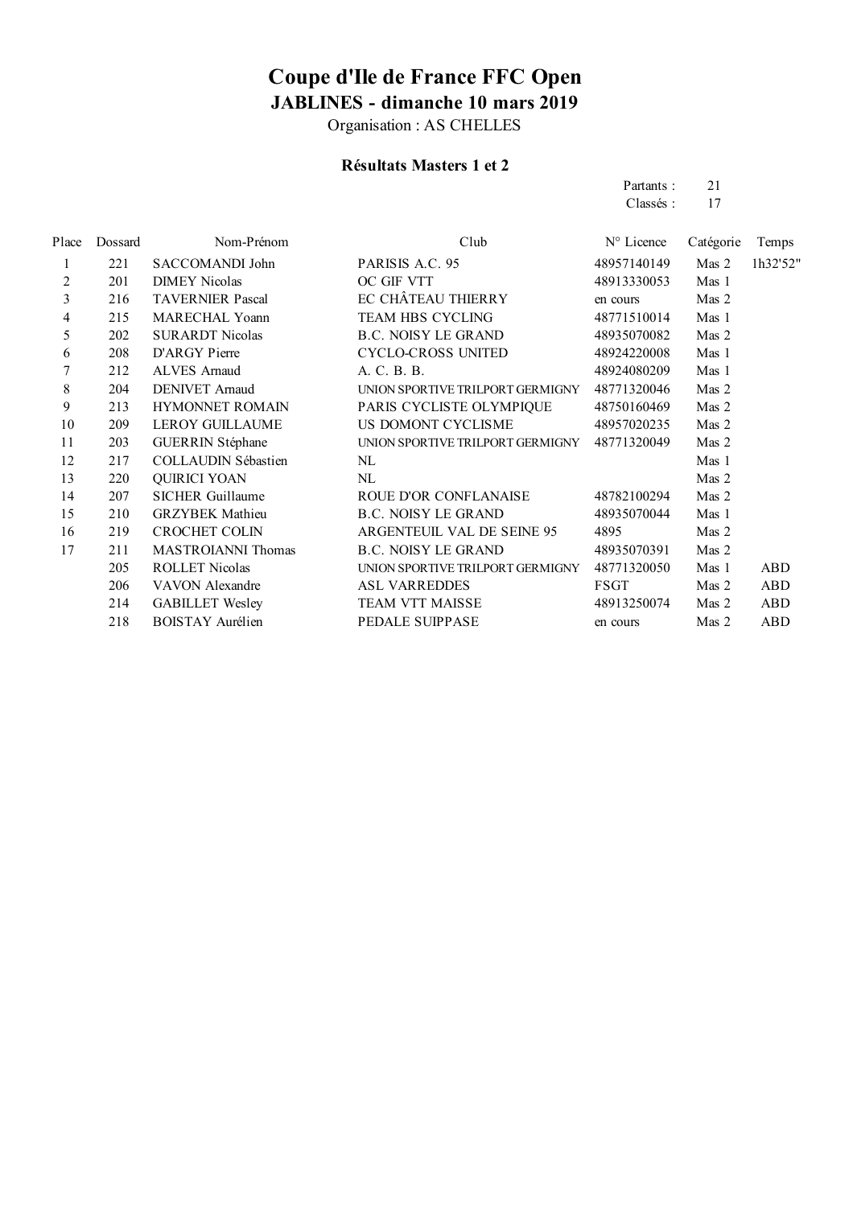Organisation : AS CHELLES

#### **Résultats Masters 1 et 2**

Partants : 21 Classés: 17

| Place          | Dossard | Nom-Prénom                 | Club                             | N° Licence  | Catégorie | Temps      |
|----------------|---------|----------------------------|----------------------------------|-------------|-----------|------------|
| 1              | 221     | SACCOMANDI John            | PARISIS A.C. 95                  | 48957140149 | Mas 2     | 1h32'52"   |
| $\overline{2}$ | 201     | <b>DIMEY Nicolas</b>       | OC GIF VTT                       | 48913330053 | Mas 1     |            |
| 3              | 216     | <b>TAVERNIER Pascal</b>    | EC CHÂTEAU THIERRY               | en cours    | Mas 2     |            |
| 4              | 215     | MARECHAL Yoann             | <b>TEAM HBS CYCLING</b>          | 48771510014 | Mas 1     |            |
| 5              | 202     | <b>SURARDT Nicolas</b>     | <b>B.C. NOISY LE GRAND</b>       | 48935070082 | Mas 2     |            |
| 6              | 208     | D'ARGY Pierre              | <b>CYCLO-CROSS UNITED</b>        | 48924220008 | Mas 1     |            |
| 7              | 212     | <b>ALVES</b> Arnaud        | A. C. B. B.                      | 48924080209 | Mas 1     |            |
| 8              | 204     | <b>DENIVET Arnaud</b>      | UNION SPORTIVE TRILPORT GERMIGNY | 48771320046 | Mas 2     |            |
| 9              | 213     | <b>HYMONNET ROMAIN</b>     | PARIS CYCLISTE OLYMPIQUE         | 48750160469 | Mas 2     |            |
| 10             | 209     | <b>LEROY GUILLAUME</b>     | US DOMONT CYCLISME               | 48957020235 | Mas 2     |            |
| 11             | 203     | GUERRIN Stéphane           | UNION SPORTIVE TRILPORT GERMIGNY | 48771320049 | Mas 2     |            |
| 12             | 217     | <b>COLLAUDIN Sébastien</b> | NL                               |             | Mas 1     |            |
| 13             | 220     | <b>QUIRICI YOAN</b>        | NL                               |             | Mas 2     |            |
| 14             | 207     | <b>SICHER Guillaume</b>    | ROUE D'OR CONFLANAISE            | 48782100294 | Mas 2     |            |
| 15             | 210     | <b>GRZYBEK</b> Mathieu     | <b>B.C. NOISY LE GRAND</b>       | 48935070044 | Mas 1     |            |
| 16             | 219     | <b>CROCHET COLIN</b>       | ARGENTEUIL VAL DE SEINE 95       | 4895        | Mas 2     |            |
| 17             | 211     | MASTROIANNI Thomas         | <b>B.C. NOISY LE GRAND</b>       | 48935070391 | Mas 2     |            |
|                | 205     | <b>ROLLET Nicolas</b>      | UNION SPORTIVE TRILPORT GERMIGNY | 48771320050 | Mas 1     | ABD        |
|                | 206     | VAVON Alexandre            | <b>ASL VARREDDES</b>             | <b>FSGT</b> | Mas 2     | <b>ABD</b> |
|                | 214     | <b>GABILLET Wesley</b>     | TEAM VTT MAISSE                  | 48913250074 | Mas 2     | <b>ABD</b> |
|                | 218     | BOISTAY Aurélien           | PEDALE SUIPPASE                  | en cours    | Mas 2     | ABD        |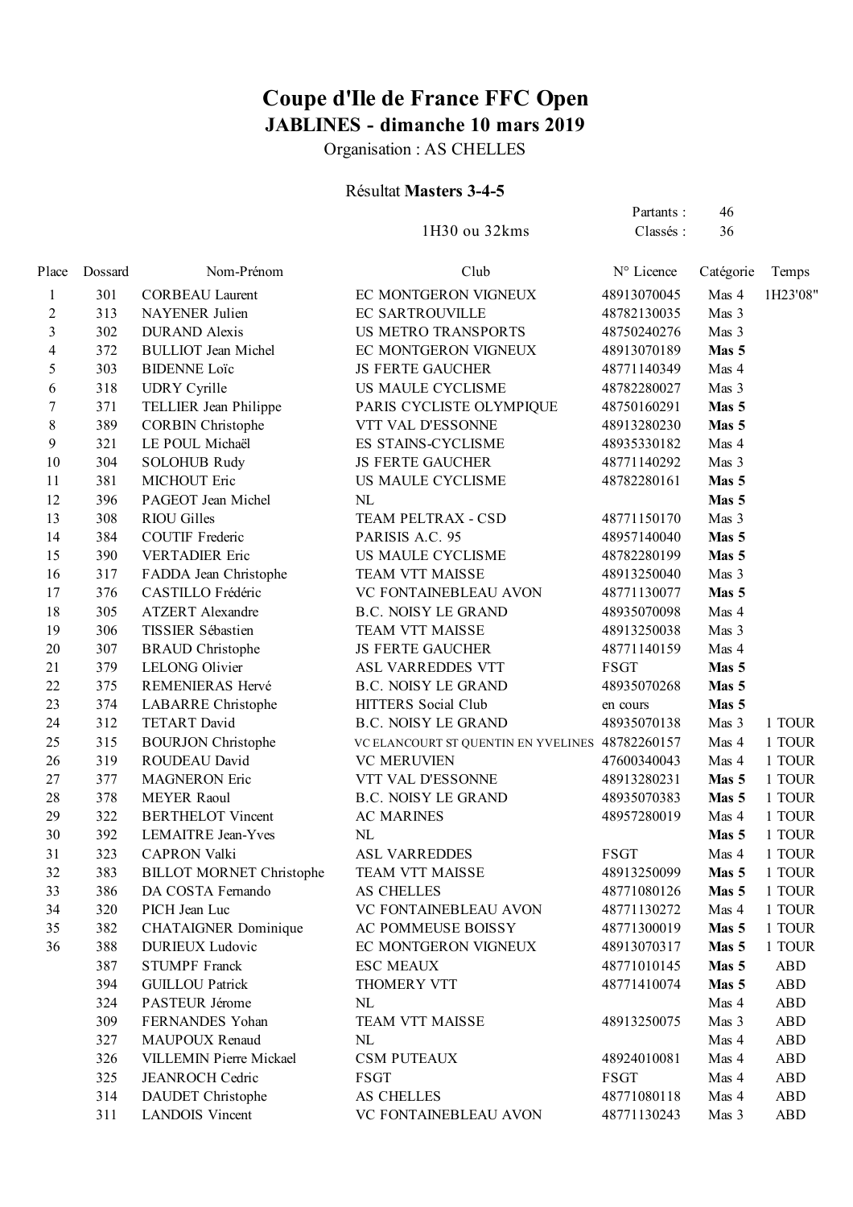Organisation : AS CHELLES

#### Résultat **Masters 3-4-5**

1H30 ou 32kms Classés : 36

Partants : 46

| Place | Dossard | Nom-Prénom                      | Club                                            | N° Licence  | Catégorie | Temps      |
|-------|---------|---------------------------------|-------------------------------------------------|-------------|-----------|------------|
| 1     | 301     | <b>CORBEAU Laurent</b>          | EC MONTGERON VIGNEUX                            | 48913070045 | Mas 4     | 1H23'08"   |
| 2     | 313     | NAYENER Julien                  | EC SARTROUVILLE                                 | 48782130035 | Mas 3     |            |
| 3     | 302     | <b>DURAND</b> Alexis            | US METRO TRANSPORTS                             | 48750240276 | Mas 3     |            |
| 4     | 372     | <b>BULLIOT</b> Jean Michel      | EC MONTGERON VIGNEUX                            | 48913070189 | Mas 5     |            |
| 5     | 303     | <b>BIDENNE</b> Loïc             | <b>JS FERTE GAUCHER</b>                         | 48771140349 | Mas 4     |            |
| 6     | 318     | <b>UDRY</b> Cyrille             | US MAULE CYCLISME                               | 48782280027 | Mas 3     |            |
| 7     | 371     | TELLIER Jean Philippe           | PARIS CYCLISTE OLYMPIQUE                        | 48750160291 | Mas 5     |            |
| 8     | 389     | <b>CORBIN Christophe</b>        | VTT VAL D'ESSONNE                               | 48913280230 | Mas 5     |            |
| 9     | 321     | LE POUL Michaël                 | ES STAINS-CYCLISME                              | 48935330182 | Mas 4     |            |
| 10    | 304     | <b>SOLOHUB Rudy</b>             | <b>JS FERTE GAUCHER</b>                         | 48771140292 | Mas 3     |            |
| 11    | 381     | MICHOUT Eric                    | US MAULE CYCLISME                               | 48782280161 | Mas 5     |            |
| 12    | 396     | PAGEOT Jean Michel              | NL                                              |             | Mas 5     |            |
| 13    | 308     | <b>RIOU Gilles</b>              | TEAM PELTRAX - CSD                              | 48771150170 | Mas 3     |            |
| 14    | 384     | <b>COUTIF Frederic</b>          | PARISIS A.C. 95                                 | 48957140040 | Mas 5     |            |
| 15    | 390     | <b>VERTADIER Eric</b>           | US MAULE CYCLISME                               | 48782280199 | Mas 5     |            |
| 16    | 317     | FADDA Jean Christophe           | TEAM VTT MAISSE                                 | 48913250040 | Mas 3     |            |
| 17    | 376     | CASTILLO Frédéric               | VC FONTAINEBLEAU AVON                           | 48771130077 | Mas 5     |            |
| 18    | 305     | <b>ATZERT</b> Alexandre         | <b>B.C. NOISY LE GRAND</b>                      | 48935070098 | Mas 4     |            |
| 19    | 306     | TISSIER Sébastien               | TEAM VTT MAISSE                                 | 48913250038 | Mas 3     |            |
| 20    | 307     | <b>BRAUD</b> Christophe         | <b>JS FERTE GAUCHER</b>                         | 48771140159 | Mas 4     |            |
| 21    | 379     | <b>LELONG Olivier</b>           | ASL VARREDDES VTT                               | <b>FSGT</b> | Mas 5     |            |
| 22    | 375     | REMENIERAS Hervé                | <b>B.C. NOISY LE GRAND</b>                      | 48935070268 | Mas 5     |            |
| 23    | 374     | LABARRE Christophe              | HITTERS Social Club                             | en cours    | Mas 5     |            |
| 24    | 312     | TETART David                    | <b>B.C. NOISY LE GRAND</b>                      | 48935070138 | Mas 3     | 1 TOUR     |
| 25    | 315     | <b>BOURJON Christophe</b>       | VC ELANCOURT ST QUENTIN EN YVELINES 48782260157 |             | Mas 4     | 1 TOUR     |
| 26    | 319     | ROUDEAU David                   | <b>VC MERUVIEN</b>                              | 47600340043 | Mas 4     | 1 TOUR     |
| 27    | 377     | <b>MAGNERON</b> Eric            | VTT VAL D'ESSONNE                               | 48913280231 | Mas 5     | 1 TOUR     |
| 28    | 378     | <b>MEYER Raoul</b>              | <b>B.C. NOISY LE GRAND</b>                      | 48935070383 | Mas 5     | 1 TOUR     |
| 29    | 322     | <b>BERTHELOT Vincent</b>        | <b>AC MARINES</b>                               | 48957280019 | Mas 4     | 1 TOUR     |
| 30    | 392     | <b>LEMAITRE Jean-Yves</b>       | NL                                              |             | Mas 5     | 1 TOUR     |
| 31    | 323     | <b>CAPRON Valki</b>             | <b>ASL VARREDDES</b>                            | <b>FSGT</b> | Mas 4     | 1 TOUR     |
| 32    | 383     | <b>BILLOT MORNET Christophe</b> | TEAM VTT MAISSE                                 | 48913250099 | Mas 5     | 1 TOUR     |
| 33    | 386     | DA COSTA Fernando               | AS CHELLES                                      | 48771080126 | Mas 5     | 1 TOUR     |
| 34    | 320     | PICH Jean Luc                   | VC FONTAINEBLEAU AVON                           | 48771130272 | Mas 4     | 1 TOUR     |
| 35    | 382     | <b>CHATAIGNER Dominique</b>     | AC POMMEUSE BOISSY                              | 48771300019 | Mas 5     | 1 TOUR     |
| 36    | 388     | <b>DURIEUX Ludovic</b>          | EC MONTGERON VIGNEUX                            | 48913070317 | Mas 5     | 1 TOUR     |
|       | 387     | <b>STUMPF Franck</b>            | <b>ESC MEAUX</b>                                | 48771010145 | Mas 5     | <b>ABD</b> |
|       | 394     | <b>GUILLOU Patrick</b>          | THOMERY VTT                                     | 48771410074 | Mas 5     | <b>ABD</b> |
|       | 324     | PASTEUR Jérome                  | NL                                              |             | Mas 4     | <b>ABD</b> |
|       | 309     | FERNANDES Yohan                 | TEAM VTT MAISSE                                 | 48913250075 | Mas 3     | <b>ABD</b> |
|       | 327     | <b>MAUPOUX Renaud</b>           | NL                                              |             | Mas 4     | <b>ABD</b> |
|       | 326     | <b>VILLEMIN Pierre Mickael</b>  | <b>CSM PUTEAUX</b>                              | 48924010081 | Mas 4     | <b>ABD</b> |
|       | 325     | <b>JEANROCH Cedric</b>          | <b>FSGT</b>                                     | <b>FSGT</b> | Mas 4     | <b>ABD</b> |
|       | 314     | DAUDET Christophe               | AS CHELLES                                      | 48771080118 | Mas 4     | <b>ABD</b> |
|       | 311     | <b>LANDOIS Vincent</b>          | VC FONTAINEBLEAU AVON                           | 48771130243 | Mas 3     | <b>ABD</b> |
|       |         |                                 |                                                 |             |           |            |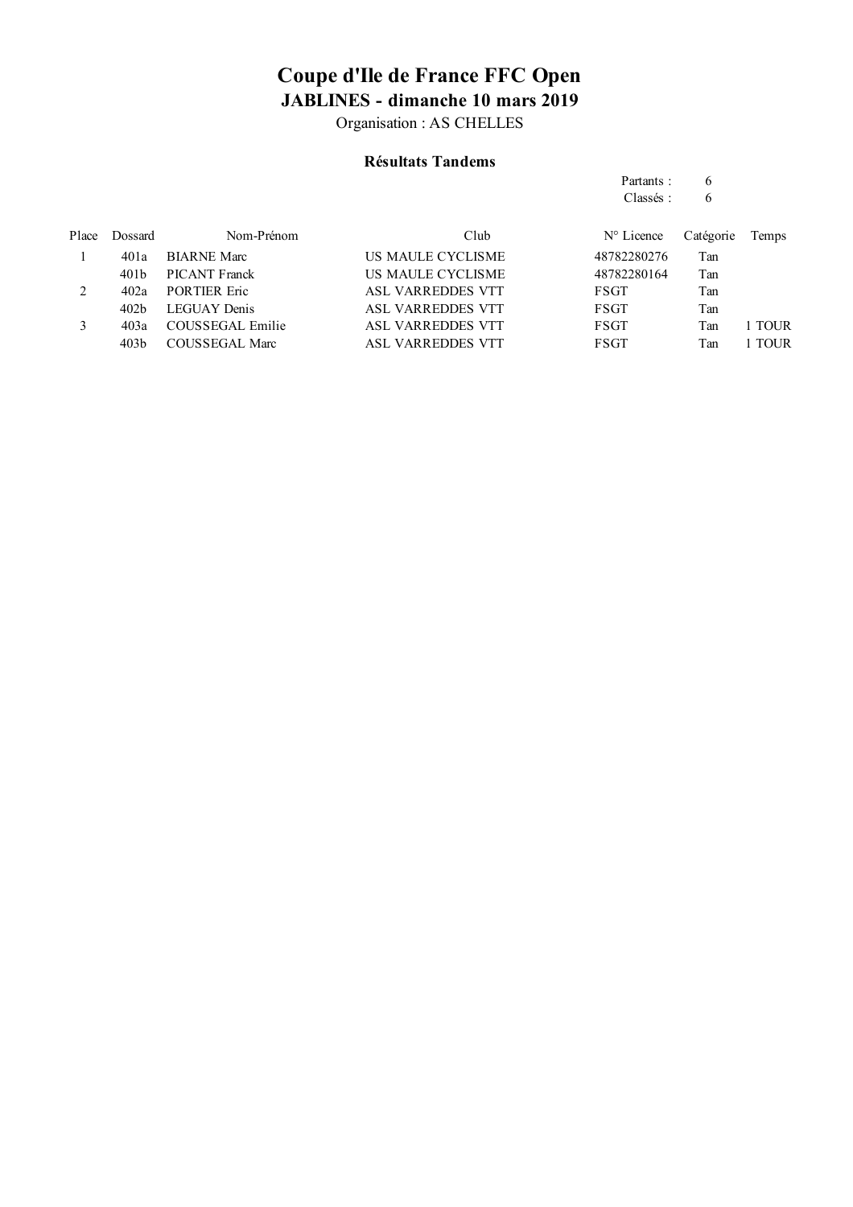Organisation : AS CHELLES

### **Résultats Tandems**

|       |                  |                     |                   | Partants:           | 6         |        |
|-------|------------------|---------------------|-------------------|---------------------|-----------|--------|
|       |                  |                     |                   | Classés:            | 6         |        |
| Place | Dossard          | Nom-Prénom          | Club              | $N^{\circ}$ Licence | Catégorie | Temps  |
|       | 401a             | <b>BIARNE</b> Marc  | US MAULE CYCLISME | 48782280276         | Tan       |        |
|       | 401 <sub>b</sub> | PICANT Franck       | US MAULE CYCLISME | 48782280164         | Tan       |        |
| 2     | 402a             | <b>PORTIER Eric</b> | ASL VARREDDES VTT | <b>FSGT</b>         | Tan       |        |
|       | 402 <sub>b</sub> | <b>LEGUAY</b> Denis | ASL VARREDDES VTT | FSGT                | Tan       |        |
| 3     | 403a             | COUSSEGAL Emilie    | ASL VARREDDES VTT | <b>FSGT</b>         | Tan       | 1 TOUR |
|       | 403 <sub>b</sub> | COUSSEGAL Marc      | ASL VARREDDES VTT | FSGT                | Tan       | 1 TOUR |
|       |                  |                     |                   |                     |           |        |